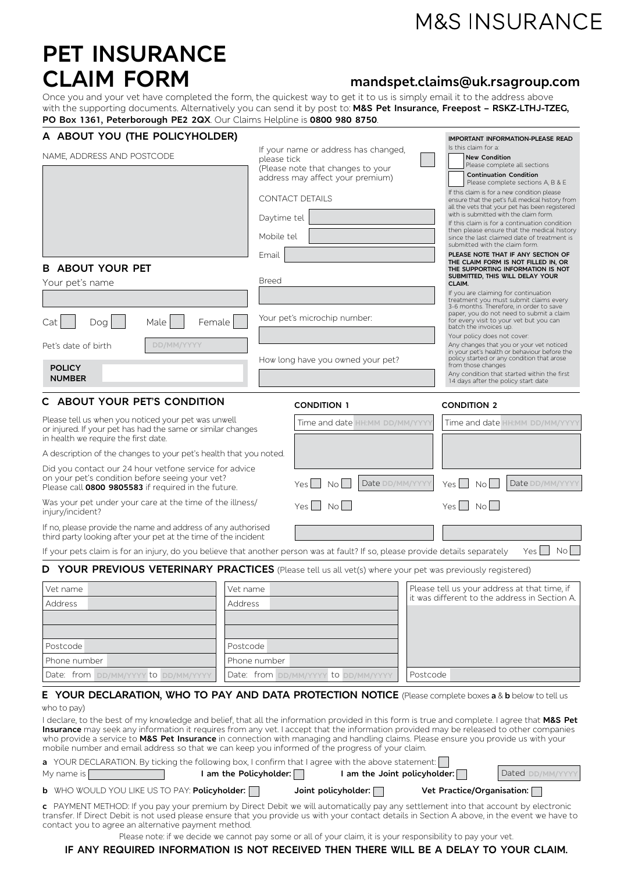# **M&S INSURANCE**

# PET INSURANCE<br>CLAIM FORM

# **CLAIM FORM mandspet.claims@uk.rsagroup.com**

Once you and your vet have completed the form, the quickest way to get it to us is simply email it to the address above with the supporting documents. Alternatively you can send it by post to: **M&S Pet Insurance, Freepost – RSKZ-LTHJ-TZEG, PO Box 1361, Peterborough PE2 2QX**. Our Claims Helpline is **0800 980 8750**.

| A ABOUT YOU (THE POLICYHOLDER)                                                                                                                                                                                                                                                                                                                                                                                                                                                                                                  |                                                 |                                                                                                                                                        |                 |                                                                                                                                                                                                                                                    | IMPORTANT INFORMATION-PLEASE READ                                                                                                                                                                                                                    |  |  |
|---------------------------------------------------------------------------------------------------------------------------------------------------------------------------------------------------------------------------------------------------------------------------------------------------------------------------------------------------------------------------------------------------------------------------------------------------------------------------------------------------------------------------------|-------------------------------------------------|--------------------------------------------------------------------------------------------------------------------------------------------------------|-----------------|----------------------------------------------------------------------------------------------------------------------------------------------------------------------------------------------------------------------------------------------------|------------------------------------------------------------------------------------------------------------------------------------------------------------------------------------------------------------------------------------------------------|--|--|
| NAME, ADDRESS AND POSTCODE                                                                                                                                                                                                                                                                                                                                                                                                                                                                                                      |                                                 | If your name or address has changed,<br>please tick<br>(Please note that changes to your<br>address may affect your premium)<br><b>CONTACT DETAILS</b> |                 |                                                                                                                                                                                                                                                    | Is this claim for a:<br><b>New Condition</b><br>Please complete all sections<br><b>Continuation Condition</b><br>Please complete sections A, B & E<br>If this claim is for a new condition please<br>ensure that the pet's full medical history from |  |  |
|                                                                                                                                                                                                                                                                                                                                                                                                                                                                                                                                 | Daytime tel                                     |                                                                                                                                                        |                 |                                                                                                                                                                                                                                                    | all the vets that your pet has been registered<br>with is submitted with the claim form.<br>If this claim is for a continuation condition                                                                                                            |  |  |
|                                                                                                                                                                                                                                                                                                                                                                                                                                                                                                                                 | Mobile tel                                      |                                                                                                                                                        |                 | submitted with the claim form.                                                                                                                                                                                                                     | then please ensure that the medical history<br>since the last claimed date of treatment is                                                                                                                                                           |  |  |
| <b>B ABOUT YOUR PET</b><br>Your pet's name                                                                                                                                                                                                                                                                                                                                                                                                                                                                                      | Email<br><b>Breed</b>                           |                                                                                                                                                        |                 | CLAIM.                                                                                                                                                                                                                                             | PLEASE NOTE THAT IF ANY SECTION OF<br>THE CLAIM FORM IS NOT FILLED IN, OR<br>THE SUPPORTING INFORMATION IS NOT<br>SUBMITTED, THIS WILL DELAY YOUR<br>If you are claiming for continuation                                                            |  |  |
| Dog<br>Male<br>Female<br>Cat                                                                                                                                                                                                                                                                                                                                                                                                                                                                                                    |                                                 | Your pet's microchip number:                                                                                                                           |                 | batch the invoices up.<br>Your policy does not cover:                                                                                                                                                                                              | treatment you must submit claims every<br>3-6 months. Therefore, in order to save<br>paper, you do not need to submit a claim<br>for every visit to your vet but you can                                                                             |  |  |
| DD/MM/YYYY<br>Pet's date of birth<br><b>POLICY</b><br><b>NUMBER</b>                                                                                                                                                                                                                                                                                                                                                                                                                                                             |                                                 | How long have you owned your pet?                                                                                                                      |                 | Any changes that you or your vet noticed<br>in your pet's health or behaviour before the<br>policy started or any condition that arose<br>from those changes<br>Any condition that started within the first<br>14 days after the policy start date |                                                                                                                                                                                                                                                      |  |  |
| C ABOUT YOUR PET'S CONDITION                                                                                                                                                                                                                                                                                                                                                                                                                                                                                                    |                                                 | <b>CONDITION 1</b>                                                                                                                                     |                 | <b>CONDITION 2</b>                                                                                                                                                                                                                                 |                                                                                                                                                                                                                                                      |  |  |
| Please tell us when you noticed your pet was unwell<br>or injured. If your pet has had the same or similar changes<br>in health we require the first date.                                                                                                                                                                                                                                                                                                                                                                      |                                                 | Time and date HH:MM DD/MM/YYYY                                                                                                                         |                 |                                                                                                                                                                                                                                                    | Time and date HH:MM DD/MM/YYYY                                                                                                                                                                                                                       |  |  |
| A description of the changes to your pet's health that you noted.                                                                                                                                                                                                                                                                                                                                                                                                                                                               |                                                 |                                                                                                                                                        |                 |                                                                                                                                                                                                                                                    |                                                                                                                                                                                                                                                      |  |  |
| Did you contact our 24 hour vetfone service for advice<br>on your pet's condition before seeing your vet?<br>Please call 0800 9805583 if required in the future.                                                                                                                                                                                                                                                                                                                                                                |                                                 | Yes.<br><b>No</b>                                                                                                                                      | Date DD/MM/YYYY | Yes<br>No.                                                                                                                                                                                                                                         | Date DD/MM/YYYY                                                                                                                                                                                                                                      |  |  |
| Was your pet under your care at the time of the illness/<br>injury/incident?                                                                                                                                                                                                                                                                                                                                                                                                                                                    |                                                 | Yes<br>No L                                                                                                                                            |                 | Yes I<br>No l                                                                                                                                                                                                                                      |                                                                                                                                                                                                                                                      |  |  |
| If no, please provide the name and address of any authorised<br>third party looking after your pet at the time of the incident                                                                                                                                                                                                                                                                                                                                                                                                  |                                                 |                                                                                                                                                        |                 |                                                                                                                                                                                                                                                    |                                                                                                                                                                                                                                                      |  |  |
| If your pets claim is for an injury, do you believe that another person was at fault? If so, please provide details separately                                                                                                                                                                                                                                                                                                                                                                                                  |                                                 |                                                                                                                                                        |                 |                                                                                                                                                                                                                                                    | Yes    <br>No II                                                                                                                                                                                                                                     |  |  |
| D YOUR PREVIOUS VETERINARY PRACTICES (Please tell us all vet(s) where your pet was previously registered)                                                                                                                                                                                                                                                                                                                                                                                                                       |                                                 |                                                                                                                                                        |                 |                                                                                                                                                                                                                                                    |                                                                                                                                                                                                                                                      |  |  |
| Vet name                                                                                                                                                                                                                                                                                                                                                                                                                                                                                                                        | Vet name                                        |                                                                                                                                                        |                 | Please tell us your address at that time, if                                                                                                                                                                                                       |                                                                                                                                                                                                                                                      |  |  |
| Address                                                                                                                                                                                                                                                                                                                                                                                                                                                                                                                         | Address                                         | it was different to the address in Section A.                                                                                                          |                 |                                                                                                                                                                                                                                                    |                                                                                                                                                                                                                                                      |  |  |
| Postcode                                                                                                                                                                                                                                                                                                                                                                                                                                                                                                                        | Postcode                                        |                                                                                                                                                        |                 |                                                                                                                                                                                                                                                    |                                                                                                                                                                                                                                                      |  |  |
| Phone number                                                                                                                                                                                                                                                                                                                                                                                                                                                                                                                    | Phone number                                    |                                                                                                                                                        |                 |                                                                                                                                                                                                                                                    |                                                                                                                                                                                                                                                      |  |  |
| Date: from DD/MM/YYYY to DD/MM/YYYY                                                                                                                                                                                                                                                                                                                                                                                                                                                                                             | Date: from DD/MM/YYYY to DD/MM/YYYY<br>Postcode |                                                                                                                                                        |                 |                                                                                                                                                                                                                                                    |                                                                                                                                                                                                                                                      |  |  |
| E YOUR DECLARATION, WHO TO PAY AND DATA PROTECTION NOTICE (Please complete boxes a & b below to tell us<br>who to pay)                                                                                                                                                                                                                                                                                                                                                                                                          |                                                 |                                                                                                                                                        |                 |                                                                                                                                                                                                                                                    |                                                                                                                                                                                                                                                      |  |  |
| I declare, to the best of my knowledge and belief, that all the information provided in this form is true and complete. I agree that M&S Pet<br>Insurance may seek any information it requires from any vet. I accept that the information provided may be released to other companies<br>who provide a service to M&S Pet Insurance in connection with managing and handling claims. Please ensure you provide us with your<br>mobile number and email address so that we can keep you informed of the progress of your claim. |                                                 |                                                                                                                                                        |                 |                                                                                                                                                                                                                                                    |                                                                                                                                                                                                                                                      |  |  |
| a YOUR DECLARATION. By ticking the following box, I confirm that I agree with the above statement:                                                                                                                                                                                                                                                                                                                                                                                                                              |                                                 |                                                                                                                                                        |                 |                                                                                                                                                                                                                                                    |                                                                                                                                                                                                                                                      |  |  |
| My name is                                                                                                                                                                                                                                                                                                                                                                                                                                                                                                                      | I am the Policyholder: $\Box$                   | I am the Joint policyholder:                                                                                                                           |                 |                                                                                                                                                                                                                                                    | Dated DD/MM/YYYY                                                                                                                                                                                                                                     |  |  |
| <b>b</b> WHO WOULD YOU LIKE US TO PAY: Policyholder:<br>Joint policyholder: $\Box$<br>Vet Practice/Organisation: $\Box$<br>c PAYMENT METHOD: If you pay your premium by Direct Debit we will automatically pay any settlement into that account by electronic<br>transfer. If Direct Debit is not used please ensure that you provide us with your contact details in Section A above, in the event we have to<br>contact you to agree an alternative payment method.                                                           |                                                 |                                                                                                                                                        |                 |                                                                                                                                                                                                                                                    |                                                                                                                                                                                                                                                      |  |  |
| Please note: if we decide we cannot pay some or all of your claim, it is your responsibility to pay your vet.                                                                                                                                                                                                                                                                                                                                                                                                                   |                                                 |                                                                                                                                                        |                 |                                                                                                                                                                                                                                                    |                                                                                                                                                                                                                                                      |  |  |

#### **IF ANY REQUIRED INFORMATION IS NOT RECEIVED THEN THERE WILL BE A DELAY TO YOUR CLAIM.**